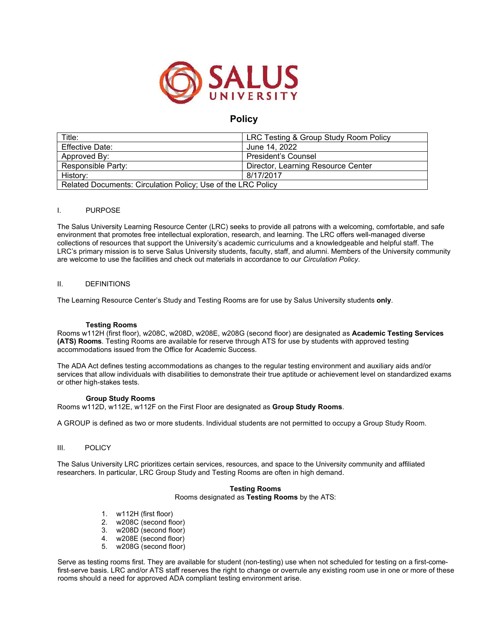

# **Policy**

| Title:                                                       | LRC Testing & Group Study Room Policy |
|--------------------------------------------------------------|---------------------------------------|
| <b>Effective Date:</b>                                       | June 14, 2022                         |
| Approved By:                                                 | President's Counsel                   |
| Responsible Party:                                           | Director, Learning Resource Center    |
| History:                                                     | 8/17/2017                             |
| Related Documents: Circulation Policy; Use of the LRC Policy |                                       |

### I. PURPOSE

The Salus University Learning Resource Center (LRC) seeks to provide all patrons with a welcoming, comfortable, and safe environment that promotes free intellectual exploration, research, and learning. The LRC offers well-managed diverse collections of resources that support the University's academic curriculums and a knowledgeable and helpful staff. The LRC's primary mission is to serve Salus University students, faculty, staff, and alumni. Members of the University community are welcome to use the facilities and check out materials in accordance to our *Circulation Policy*.

### II. DEFINITIONS

The Learning Resource Center's Study and Testing Rooms are for use by Salus University students **only**.

### **Testing Rooms**

Rooms w112H (first floor), w208C, w208D, w208E, w208G (second floor) are designated as **Academic Testing Services (ATS) Rooms**. Testing Rooms are available for reserve through ATS for use by students with approved testing accommodations issued from the Office for Academic Success.

The ADA Act defines testing accommodations as changes to the regular testing environment and auxiliary aids and/or services that allow individuals with disabilities to demonstrate their true aptitude or achievement level on standardized exams or other high-stakes tests.

### **Group Study Rooms**

Rooms w112D, w112E, w112F on the First Floor are designated as **Group Study Rooms**.

A GROUP is defined as two or more students. Individual students are not permitted to occupy a Group Study Room.

### III. POLICY

The Salus University LRC prioritizes certain services, resources, and space to the University community and affiliated researchers. In particular, LRC Group Study and Testing Rooms are often in high demand.

### **Testing Rooms**  Rooms designated as **Testing Rooms** by the ATS:

- 1. w112H (first floor)
- 2. w208C (second floor)
- 3. w208D (second floor)
- 4. w208E (second floor)
- 5. w208G (second floor)

Serve as testing rooms first. They are available for student (non-testing) use when not scheduled for testing on a first-comefirst-serve basis. LRC and/or ATS staff reserves the right to change or overrule any existing room use in one or more of these rooms should a need for approved ADA compliant testing environment arise.